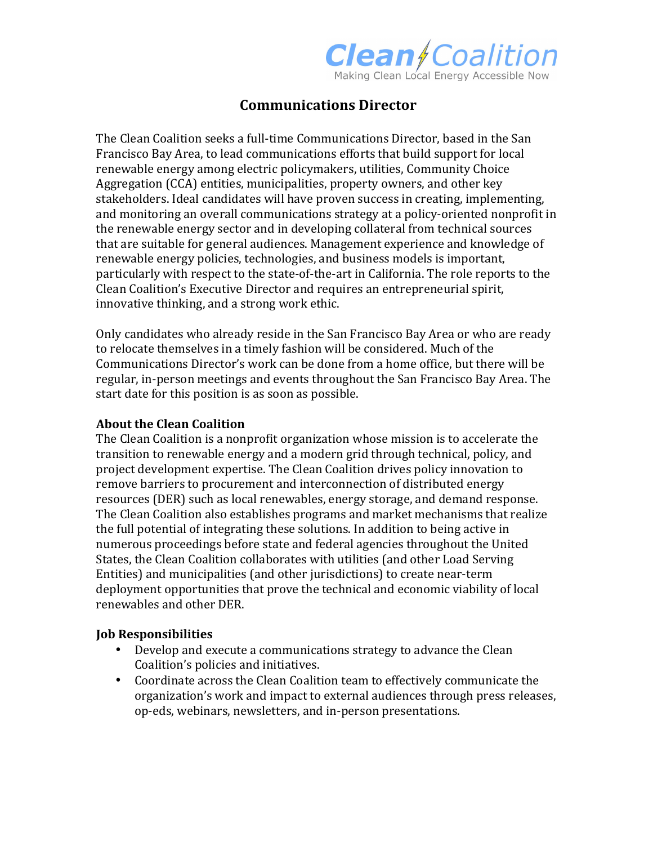

# **Communications Director**

The Clean Coalition seeks a full-time Communications Director, based in the San Francisco Bay Area, to lead communications efforts that build support for local renewable energy among electric policymakers, utilities, Community Choice Aggregation (CCA) entities, municipalities, property owners, and other key stakeholders. Ideal candidates will have proven success in creating, implementing, and monitoring an overall communications strategy at a policy-oriented nonprofit in the renewable energy sector and in developing collateral from technical sources that are suitable for general audiences. Management experience and knowledge of renewable energy policies, technologies, and business models is important, particularly with respect to the state-of-the-art in California. The role reports to the Clean Coalition's Executive Director and requires an entrepreneurial spirit, innovative thinking, and a strong work ethic.

Only candidates who already reside in the San Francisco Bay Area or who are ready to relocate themselves in a timely fashion will be considered. Much of the Communications Director's work can be done from a home office, but there will be regular, in-person meetings and events throughout the San Francisco Bay Area. The start date for this position is as soon as possible.

#### **About the Clean Coalition**

The Clean Coalition is a nonprofit organization whose mission is to accelerate the transition to renewable energy and a modern grid through technical, policy, and project development expertise. The Clean Coalition drives policy innovation to remove barriers to procurement and interconnection of distributed energy resources (DER) such as local renewables, energy storage, and demand response. The Clean Coalition also establishes programs and market mechanisms that realize the full potential of integrating these solutions. In addition to being active in numerous proceedings before state and federal agencies throughout the United States, the Clean Coalition collaborates with utilities (and other Load Serving Entities) and municipalities (and other jurisdictions) to create near-term deployment opportunities that prove the technical and economic viability of local renewables and other DER.

#### **Job Responsibilities**

- Develop and execute a communications strategy to advance the Clean Coalition's policies and initiatives.
- Coordinate across the Clean Coalition team to effectively communicate the organization's work and impact to external audiences through press releases, op-eds, webinars, newsletters, and in-person presentations.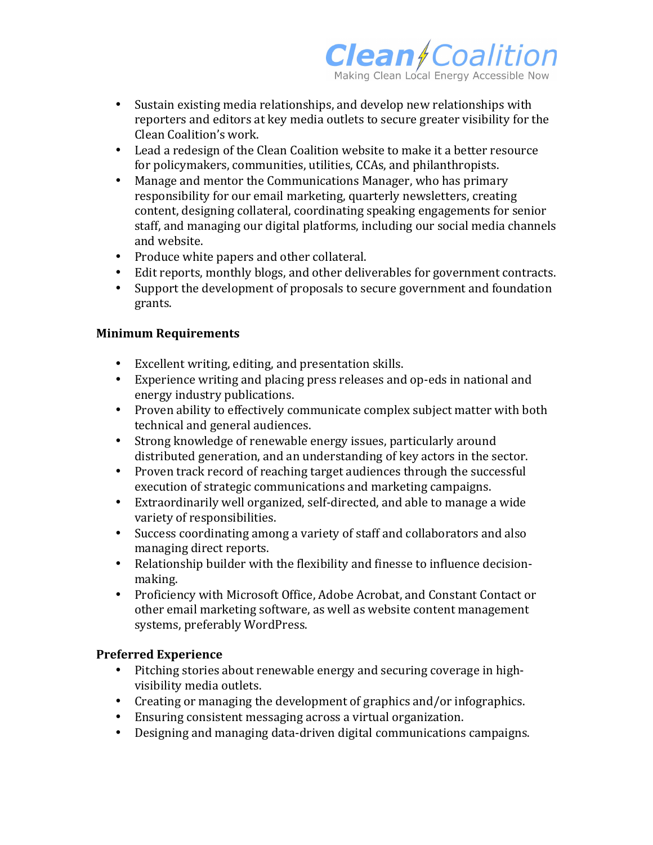

- Sustain existing media relationships, and develop new relationships with reporters and editors at key media outlets to secure greater visibility for the Clean Coalition's work.
- Lead a redesign of the Clean Coalition website to make it a better resource for policymakers, communities, utilities, CCAs, and philanthropists.
- Manage and mentor the Communications Manager, who has primary responsibility for our email marketing, quarterly newsletters, creating content, designing collateral, coordinating speaking engagements for senior staff, and managing our digital platforms, including our social media channels and website.
- Produce white papers and other collateral.
- Edit reports, monthly blogs, and other deliverables for government contracts.
- Support the development of proposals to secure government and foundation grants.

## **Minimum Requirements**

- Excellent writing, editing, and presentation skills.
- Experience writing and placing press releases and op-eds in national and energy industry publications.
- Proven ability to effectively communicate complex subject matter with both technical and general audiences.
- Strong knowledge of renewable energy issues, particularly around distributed generation, and an understanding of key actors in the sector.
- Proven track record of reaching target audiences through the successful execution of strategic communications and marketing campaigns.
- Extraordinarily well organized, self-directed, and able to manage a wide variety of responsibilities.
- Success coordinating among a variety of staff and collaborators and also managing direct reports.
- Relationship builder with the flexibility and finesse to influence decisionmaking.
- Proficiency with Microsoft Office, Adobe Acrobat, and Constant Contact or other email marketing software, as well as website content management systems, preferably WordPress.

## **Preferred Experience**

- Pitching stories about renewable energy and securing coverage in highvisibility media outlets.
- Creating or managing the development of graphics and/or infographics.
- Ensuring consistent messaging across a virtual organization.
- Designing and managing data-driven digital communications campaigns.